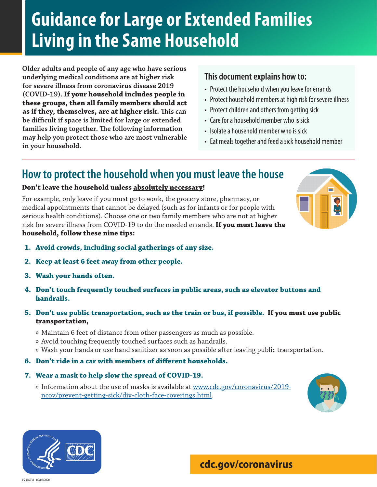# **Guidance for Large or Extended Families Living in the Same Household**

**Older adults and people of any age who have serious underlying medical conditions are at higher risk for severe illness from coronavirus disease 2019 (COVID-19). If your household includes people in these groups, then all family members should act as if they, themselves, are at higher risk. This can be difficult if space is limited for large or extended families living together. The following information may help you protect those who are most vulnerable in your household.**

### **This document explains how to:**

- Protect the household when you leave for errands
- Protect household members at high risk for severe illness
- Protect children and others from getting sick
- Care for a household member who is sick
- Isolate a household member who is sick
- Eat meals together and feed a sick household member

### **How to protect the household when you must leave the house**

### **Don't leave the household unless absolutely necessary!**

For example, only leave if you must go to work, the grocery store, pharmacy, or medical appointments that cannot be delayed (such as for infants or for people with serious health conditions). Choose one or two family members who are not at higher risk for severe illness from COVID-19 to do the needed errands. **If you must leave the household, follow these nine tips:**

- **1. Avoid crowds, including social gatherings of any size.**
- **2. Keep at least 6 feet away from other people.**
- **3. Wash your hands often.**
- **4. Don't touch frequently touched surfaces in public areas, such as elevator buttons and handrails.**
- **5. Don't use public transportation, such as the train or bus, if possible. If you must use public transportation,** 
	- » Maintain 6 feet of distance from other passengers as much as possible.
	- » Avoid touching frequently touched surfaces such as handrails.
	- » Wash your hands or use hand sanitizer as soon as possible after leaving public transportation.
- **6. Don't ride in a car with members of different households.**

#### **7. Wear a mask to help slow the spread of COVID-19.**

» Information about the use of masks is available at www.cdc.gov/coronavirus/2019 ncov/prevent-getting-sick/diy-cloth-face-coverings.html.





### **cdc.gov/coronavirus**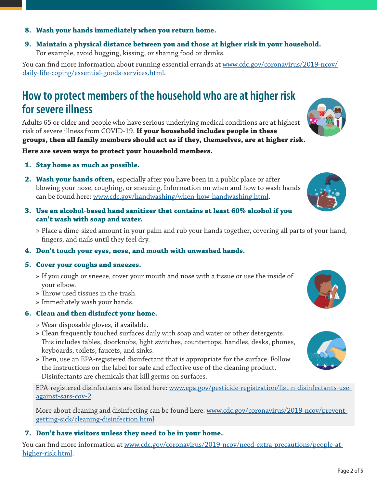### **8. Wash your hands immediately when you return home.**

**9. Maintain a physical distance between you and those at higher risk in your household.**  For example, avoid hugging, kissing, or sharing food or drinks.

You can find more information about running essential errands at www.cdc.gov/coronavirus/2019-ncov/ daily-life-coping/essential-goods-services.html.

## **How to protect members of the household who are at higher risk for severe illness**

Adults 65 or older and people who have serious underlying medical conditions are at highest risk of severe illness from COVID-19. **If your household includes people in these groups, then all family members should act as if they, themselves, are at higher risk.** 

**Here are seven ways to protect your household members.**

- **1. Stay home as much as possible.**
- **2. Wash your hands often,** especially after you have been in a public place or after blowing your nose, coughing, or sneezing. Information on when and how to wash hands can be found here: www.cdc.gov/handwashing/when-how-handwashing.html.
- **3. Use an alcohol-based hand sanitizer that contains at least 60% alcohol if you can't wash with soap and water.**
	- » Place a dime-sized amount in your palm and rub your hands together, covering all parts of your hand, fingers, and nails until they feel dry.

#### **4. Don't touch your eyes, nose, and mouth with unwashed hands.**

#### **5. Cover your coughs and sneezes.**

- » If you cough or sneeze, cover your mouth and nose with a tissue or use the inside of your elbow.
- » Throw used tissues in the trash.
- » Immediately wash your hands.

### **6. Clean and then disinfect your home.**

- » Wear disposable gloves, if available.
- » Clean frequently touched surfaces daily with soap and water or other detergents. This includes tables, doorknobs, light switches, countertops, handles, desks, phones, keyboards, toilets, faucets, and sinks.
- » Then, use an EPA-registered disinfectant that is appropriate for the surface. Follow the instructions on the label for safe and effective use of the cleaning product. Disinfectants are chemicals that kill germs on surfaces.

EPA-registered disinfectants are listed here: www.epa.gov/pesticide-registration/list-n-disinfectants-useagainst-sars-cov-2.

More about cleaning and disinfecting can be found here: www.cdc.gov/coronavirus/2019-ncov/preventgetting-sick/cleaning-disinfection.html

### **7. Don't have visitors unless they need to be in your home.**

You can find more information at www.cdc.gov/coronavirus/2019-ncov/need-extra-precautions/people-athigher-risk.html.





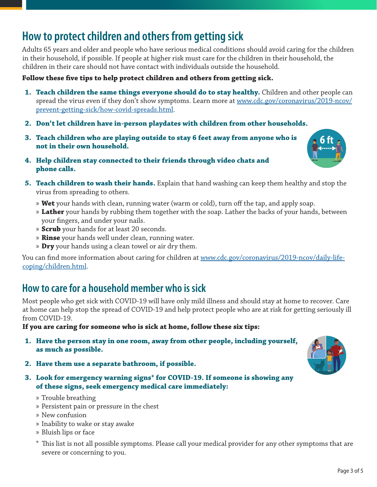# **How to protect children and others from getting sick**

Adults 65 years and older and people who have serious medical conditions should avoid caring for the children in their household, if possible. If people at higher risk must care for the children in their household, the children in their care should not have contact with individuals outside the household.

### **Follow these five tips to help protect children and others from getting sick.**

- **1. Teach children the same things everyone should do to stay healthy.** Children and other people can spread the virus even if they don't show symptoms. Learn more at <u>www.cdc.gov/coronavirus/2019-ncov/</u> prevent-getting-sick/how-covid-spreads.html.
- **2. Don't let children have in-person playdates with children from other households.**
- **3. Teach children who are playing outside to stay 6 feet away from anyone who is not in their own household.**
- **4. Help children stay connected to their friends through video chats and phone calls.**
- **5. Teach children to wash their hands.** Explain that hand washing can keep them healthy and stop the virus from spreading to others.
	- » **Wet** your hands with clean, running water (warm or cold), turn off the tap, and apply soap.
	- » **Lather** your hands by rubbing them together with the soap. Lather the backs of your hands, between your fingers, and under your nails.
	- » **Scrub** your hands for at least 20 seconds.
	- » **Rinse** your hands well under clean, running water.
	- » **Dry** your hands using a clean towel or air dry them.

You can find more information about caring for children at www.cdc.gov/coronavirus/2019-ncov/daily-lifecoping/children.html.

### **How to care for a household member who is sick**

Most people who get sick with COVID-19 will have only mild illness and should stay at home to recover. Care at home can help stop the spread of COVID-19 and help protect people who are at risk for getting seriously ill from COVID-19.

#### **If you are caring for someone who is sick at home, follow these six tips:**

- **1. Have the person stay in one room, away from other people, including yourself, as much as possible.**
- **2. Have them use a separate bathroom, if possible.**
- **3. Look for emergency warning signs\* for COVID-19. If someone is showing any of these signs, seek emergency medical care immediately:**
	- » Trouble breathing
	- » Persistent pain or pressure in the chest
	- » New confusion
	- » Inability to wake or stay awake
	- » Bluish lips or face
	- \* This list is not all possible symptoms. Please call your medical provider for any other symptoms that are severe or concerning to you.



**6 ft**

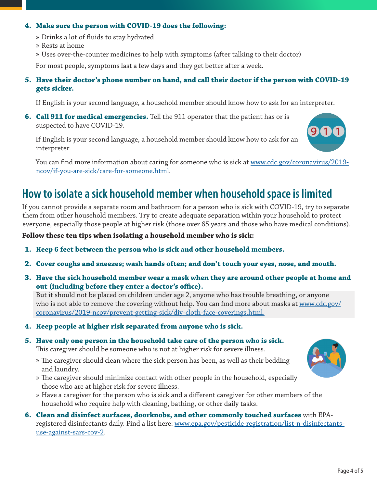### **4. Make sure the person with COVID-19 does the following:**

- » Drinks a lot of fluids to stay hydrated
- » Rests at home
- » Uses over-the-counter medicines to help with symptoms (after talking to their doctor)

For most people, symptoms last a few days and they get better after a week.

### **5. Have their doctor's phone number on hand, and call their doctor if the person with COVID-19 gets sicker.**

If English is your second language, a household member should know how to ask for an interpreter.

**6. Call 911 for medical emergencies.** Tell the 911 operator that the patient has or is suspected to have COVID-19.

If English is your second language, a household member should know how to ask for an interpreter.

You can find more information about caring for someone who is sick at www.cdc.gov/coronavirus/2019ncov/if-you-are-sick/care-for-someone.html.

# **How to isolate a sick household member when household space is limited**

If you cannot provide a separate room and bathroom for a person who is sick with COVID-19, try to separate them from other household members. Try to create adequate separation within your household to protect everyone, especially those people at higher risk (those over 65 years and those who have medical conditions).

**Follow these ten tips when isolating a household member who is sick:**

- **1. Keep 6 feet between the person who is sick and other household members.**
- **2. Cover coughs and sneezes; wash hands often; and don't touch your eyes, nose, and mouth.**
- **3. Have the sick household member wear a mask when they are around other people at home and out (including before they enter a doctor's office).**

But it should not be placed on children under age 2, anyone who has trouble breathing, or anyone who is not able to remove the covering without help. You can find more about masks at www.cdc.gov/ coronavirus/2019-ncov/prevent-getting-sick/diy-cloth-face-coverings.html.

- **4. Keep people at higher risk separated from anyone who is sick.**
- **5. Have only one person in the household take care of the person who is sick.**

This caregiver should be someone who is not at higher risk for severe illness.

- » The caregiver should clean where the sick person has been, as well as their bedding and laundry.
- » The caregiver should minimize contact with other people in the household, especially those who are at higher risk for severe illness.
- » Have a caregiver for the person who is sick and a different caregiver for other members of the household who require help with cleaning, bathing, or other daily tasks.
- **6. Clean and disinfect surfaces, doorknobs, and other commonly touched surfaces** with EPAregistered disinfectants daily. Find a list here: www.epa.gov/pesticide-registration/list-n-disinfectantsuse-against-sars-cov-2.